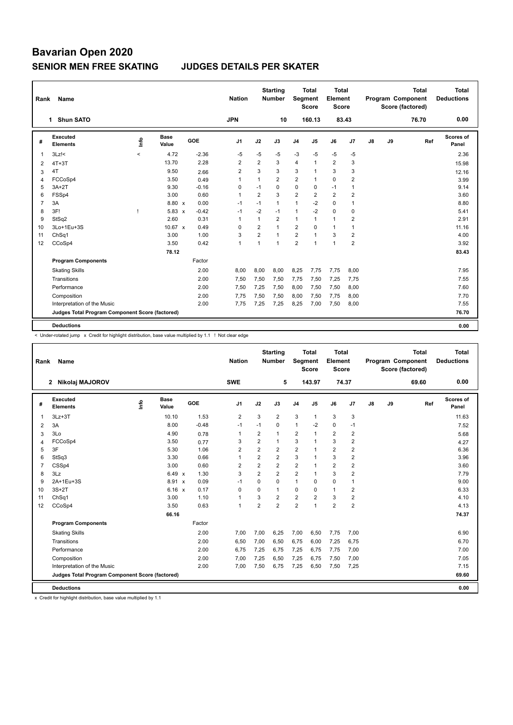| Name                        |                                                                                        |                      |                                                 | <b>Nation</b>                                     |                |                |                                                  |                    |                                                                          |                |                                                           |    | <b>Total</b> | Total<br><b>Deductions</b>                   |
|-----------------------------|----------------------------------------------------------------------------------------|----------------------|-------------------------------------------------|---------------------------------------------------|----------------|----------------|--------------------------------------------------|--------------------|--------------------------------------------------------------------------|----------------|-----------------------------------------------------------|----|--------------|----------------------------------------------|
|                             |                                                                                        |                      |                                                 | <b>JPN</b>                                        |                |                |                                                  |                    |                                                                          |                |                                                           |    | 76.70        | 0.00                                         |
| Executed<br><b>Elements</b> | lnfo                                                                                   | <b>Base</b><br>Value | GOE                                             | J <sub>1</sub>                                    | J2             | J3             | J <sub>4</sub>                                   | J <sub>5</sub>     | J6                                                                       | J <sub>7</sub> | J8                                                        | J9 |              | Scores of<br>Panel                           |
| $3Lz$ !<                    | $\prec$                                                                                | 4.72                 | $-2.36$                                         | $-5$                                              | $-5$           | $-5$           | $-3$                                             | $-5$               | $-5$                                                                     | $-5$           |                                                           |    |              | 2.36                                         |
| $4T+3T$                     |                                                                                        | 13.70                | 2.28                                            | $\overline{2}$                                    | $\overline{2}$ | 3              | $\overline{4}$                                   | $\mathbf{1}$       | $\overline{2}$                                                           | 3              |                                                           |    |              | 15.98                                        |
| 4T                          |                                                                                        | 9.50                 | 2.66                                            | $\overline{2}$                                    | 3              | 3              | 3                                                | 1                  | 3                                                                        | 3              |                                                           |    |              | 12.16                                        |
| FCCoSp4                     |                                                                                        | 3.50                 | 0.49                                            | $\overline{1}$                                    | 1              | $\overline{2}$ | $\overline{2}$                                   | $\mathbf{1}$       | $\mathbf 0$                                                              | $\overline{2}$ |                                                           |    |              | 3.99                                         |
| $3A+2T$                     |                                                                                        | 9.30                 | $-0.16$                                         | 0                                                 | $-1$           | $\Omega$       | $\mathbf 0$                                      | 0                  | $-1$                                                                     | $\overline{1}$ |                                                           |    |              | 9.14                                         |
| FSSp4                       |                                                                                        | 3.00                 | 0.60                                            | $\mathbf{1}$                                      | 2              | 3              | $\overline{2}$                                   | $\overline{2}$     | $\overline{2}$                                                           | $\overline{2}$ |                                                           |    |              | 3.60                                         |
| 3A                          |                                                                                        |                      | 0.00                                            | $-1$                                              | $-1$           | $\mathbf{1}$   | $\mathbf{1}$                                     | $-2$               | $\Omega$                                                                 | $\overline{1}$ |                                                           |    |              | 8.80                                         |
| 3F!                         |                                                                                        |                      | $-0.42$                                         | $-1$                                              | $-2$           | $-1$           | $\mathbf{1}$                                     | $-2$               | $\Omega$                                                                 | 0              |                                                           |    |              | 5.41                                         |
| StSq2                       |                                                                                        | 2.60                 | 0.31                                            | $\overline{1}$                                    | 1              | $\overline{2}$ | $\mathbf{1}$                                     | $\mathbf{1}$       | $\mathbf{1}$                                                             | 2              |                                                           |    |              | 2.91                                         |
| 3Lo+1Eu+3S                  |                                                                                        |                      | 0.49                                            | 0                                                 | $\overline{2}$ | $\mathbf{1}$   | $\overline{2}$                                   | $\mathbf 0$        | $\mathbf{1}$                                                             | $\overline{1}$ |                                                           |    |              | 11.16                                        |
| ChSq1                       |                                                                                        | 3.00                 | 1.00                                            | 3                                                 | 2              | $\mathbf{1}$   | $\overline{2}$                                   | 1                  | 3                                                                        | $\overline{2}$ |                                                           |    |              | 4.00                                         |
| CCoSp4                      |                                                                                        | 3.50                 | 0.42                                            | $\overline{1}$                                    | 1              | $\mathbf{1}$   | $\overline{2}$                                   | 1                  | $\mathbf{1}$                                                             | $\overline{2}$ |                                                           |    |              | 3.92                                         |
|                             |                                                                                        | 78.12                |                                                 |                                                   |                |                |                                                  |                    |                                                                          |                |                                                           |    |              | 83.43                                        |
| <b>Program Components</b>   |                                                                                        |                      | Factor                                          |                                                   |                |                |                                                  |                    |                                                                          |                |                                                           |    |              |                                              |
| <b>Skating Skills</b>       |                                                                                        |                      | 2.00                                            | 8,00                                              | 8,00           | 8,00           | 8,25                                             | 7,75               | 7,75                                                                     | 8,00           |                                                           |    |              | 7.95                                         |
| Transitions                 |                                                                                        |                      | 2.00                                            | 7,50                                              | 7,50           | 7,50           | 7,75                                             | 7,50               | 7,25                                                                     | 7,75           |                                                           |    |              | 7.55                                         |
| Performance                 |                                                                                        |                      | 2.00                                            |                                                   |                |                |                                                  |                    |                                                                          |                |                                                           |    |              | 7.60                                         |
|                             |                                                                                        |                      | 2.00                                            | 7.75                                              | 7,50           | 7.50           | 8,00                                             | 7,50               | 7,75                                                                     | 8,00           |                                                           |    |              | 7.70                                         |
|                             |                                                                                        |                      |                                                 |                                                   |                |                |                                                  |                    |                                                                          |                |                                                           |    |              | 7.55                                         |
|                             |                                                                                        |                      |                                                 |                                                   |                |                |                                                  |                    |                                                                          |                |                                                           |    |              | 76.70                                        |
|                             |                                                                                        |                      |                                                 |                                                   |                |                |                                                  |                    |                                                                          |                |                                                           |    |              | 0.00                                         |
|                             | Rank<br>1 Shun SATO<br>Composition<br>Interpretation of the Music<br><b>Deductions</b> |                      | Judges Total Program Component Score (factored) | 8.80 x<br>$5.83 \times$<br>$10.67 \times$<br>2.00 | 7,50<br>7,75   | 7,25<br>7,25   | <b>Starting</b><br><b>Number</b><br>7,50<br>7,25 | 10<br>8,00<br>8,25 | <b>Total</b><br><b>Segment</b><br><b>Score</b><br>160.13<br>7,50<br>7,00 | 7,50<br>7,50   | Total<br>Element<br><b>Score</b><br>83.43<br>8,00<br>8,00 |    |              | Program Component<br>Score (factored)<br>Ref |

< Under-rotated jump x Credit for highlight distribution, base value multiplied by 1.1 ! Not clear edge

| Rank           | Name                                            |    |                      |         | <b>Nation</b>  |                | <b>Starting</b><br><b>Number</b> | Segment        | <b>Total</b><br><b>Score</b> | <b>Total</b><br>Element<br><b>Score</b> |                |    |    | <b>Total</b><br>Program Component<br>Score (factored) | <b>Total</b><br><b>Deductions</b> |
|----------------|-------------------------------------------------|----|----------------------|---------|----------------|----------------|----------------------------------|----------------|------------------------------|-----------------------------------------|----------------|----|----|-------------------------------------------------------|-----------------------------------|
|                | $\mathbf{2}$<br>Nikolaj MAJOROV                 |    |                      |         | <b>SWE</b>     |                | 5                                |                | 143.97                       | 74.37                                   |                |    |    | 69.60                                                 | 0.00                              |
| #              | Executed<br><b>Elements</b>                     | ۴٥ | <b>Base</b><br>Value | GOE     | J <sub>1</sub> | J2             | J3                               | J <sub>4</sub> | J <sub>5</sub>               | J6                                      | J7             | J8 | J9 | Ref                                                   | <b>Scores of</b><br>Panel         |
| 1              | $3Lz + 3T$                                      |    | 10.10                | 1.53    | $\overline{2}$ | 3              | $\overline{2}$                   | 3              | $\mathbf{1}$                 | 3                                       | 3              |    |    |                                                       | 11.63                             |
| 2              | 3A                                              |    | 8.00                 | $-0.48$ | $-1$           | $-1$           | 0                                | $\mathbf{1}$   | $-2$                         | $\mathbf 0$                             | $-1$           |    |    |                                                       | 7.52                              |
| 3              | 3Lo                                             |    | 4.90                 | 0.78    | $\mathbf{1}$   | $\overline{2}$ | $\mathbf{1}$                     | $\overline{2}$ | $\overline{1}$               | $\overline{2}$                          | $\overline{2}$ |    |    |                                                       | 5.68                              |
| 4              | FCCoSp4                                         |    | 3.50                 | 0.77    | 3              | 2              | $\mathbf{1}$                     | 3              |                              | 3                                       | $\overline{2}$ |    |    |                                                       | 4.27                              |
| 5              | 3F                                              |    | 5.30                 | 1.06    | 2              | 2              | $\overline{2}$                   | $\overline{2}$ |                              | $\overline{2}$                          | $\overline{2}$ |    |    |                                                       | 6.36                              |
| 6              | StSq3                                           |    | 3.30                 | 0.66    | $\mathbf{1}$   | 2              | 2                                | 3              |                              | 3                                       | $\overline{2}$ |    |    |                                                       | 3.96                              |
| $\overline{7}$ | CSSp4                                           |    | 3.00                 | 0.60    | $\overline{2}$ | $\overline{2}$ | $\overline{2}$                   | $\overline{2}$ | 1                            | $\overline{2}$                          | $\overline{2}$ |    |    |                                                       | 3.60                              |
| 8              | 3Lz                                             |    | 6.49 x               | 1.30    | 3              | $\overline{2}$ | $\overline{2}$                   | $\overline{2}$ | $\overline{1}$               | 3                                       | $\overline{2}$ |    |    |                                                       | 7.79                              |
| 9              | 2A+1Eu+3S                                       |    | 8.91 x               | 0.09    | $-1$           | $\Omega$       | 0                                | $\mathbf{1}$   | $\Omega$                     | 0                                       | $\overline{1}$ |    |    |                                                       | 9.00                              |
| 10             | $3S+2T$                                         |    | 6.16 x               | 0.17    | 0              | $\Omega$       | $\mathbf{1}$                     | 0              | $\Omega$                     | $\mathbf{1}$                            | 2              |    |    |                                                       | 6.33                              |
| 11             | ChSq1                                           |    | 3.00                 | 1.10    | $\mathbf{1}$   | 3              | $\overline{2}$                   | $\overline{2}$ | $\overline{2}$               | 3                                       | $\overline{2}$ |    |    |                                                       | 4.10                              |
| 12             | CCoSp4                                          |    | 3.50                 | 0.63    | $\mathbf{1}$   | $\overline{2}$ | $\overline{2}$                   | $\overline{2}$ | 1                            | $\overline{2}$                          | $\overline{2}$ |    |    |                                                       | 4.13                              |
|                |                                                 |    | 66.16                |         |                |                |                                  |                |                              |                                         |                |    |    |                                                       | 74.37                             |
|                | <b>Program Components</b>                       |    |                      | Factor  |                |                |                                  |                |                              |                                         |                |    |    |                                                       |                                   |
|                | <b>Skating Skills</b>                           |    |                      | 2.00    | 7,00           | 7,00           | 6,25                             | 7,00           | 6,50                         | 7,75                                    | 7,00           |    |    |                                                       | 6.90                              |
|                | Transitions                                     |    |                      | 2.00    | 6,50           | 7,00           | 6,50                             | 6,75           | 6,00                         | 7,25                                    | 6,75           |    |    |                                                       | 6.70                              |
|                | Performance                                     |    |                      | 2.00    | 6,75           | 7,25           | 6,75                             | 7,25           | 6,75                         | 7,75                                    | 7,00           |    |    |                                                       | 7.00                              |
|                | Composition                                     |    |                      | 2.00    | 7,00           | 7,25           | 6,50                             | 7,25           | 6,75                         | 7,50                                    | 7,00           |    |    |                                                       | 7.05                              |
|                | Interpretation of the Music                     |    |                      | 2.00    | 7,00           | 7,50           | 6,75                             | 7,25           | 6,50                         | 7,50                                    | 7,25           |    |    |                                                       | 7.15                              |
|                | Judges Total Program Component Score (factored) |    |                      |         |                |                |                                  |                |                              |                                         |                |    |    |                                                       | 69.60                             |
|                | <b>Deductions</b>                               |    |                      |         |                |                |                                  |                |                              |                                         |                |    |    |                                                       | 0.00                              |

x Credit for highlight distribution, base value multiplied by 1.1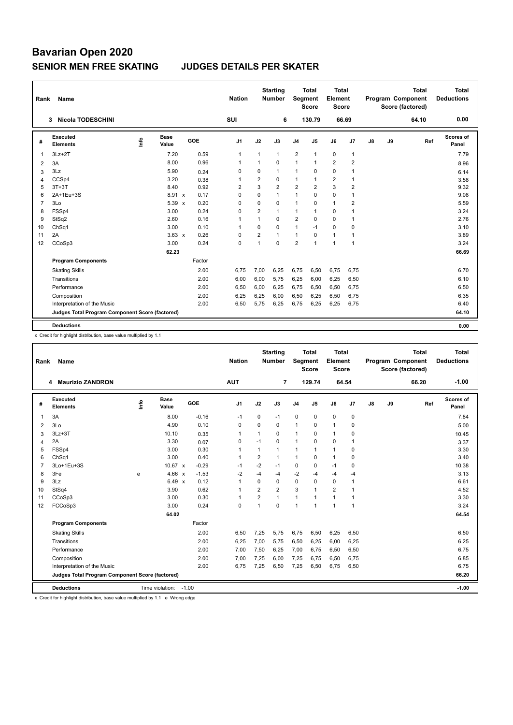| Rank           | <b>Name</b>                                     |      |                      |        | <b>Nation</b>  |                | <b>Starting</b><br><b>Number</b> | Segment        | Total<br><b>Score</b> | Total<br>Element<br><b>Score</b> |                         |               |    | <b>Total</b><br>Program Component<br>Score (factored) | Total<br><b>Deductions</b> |
|----------------|-------------------------------------------------|------|----------------------|--------|----------------|----------------|----------------------------------|----------------|-----------------------|----------------------------------|-------------------------|---------------|----|-------------------------------------------------------|----------------------------|
|                | <b>Nicola TODESCHINI</b><br>3                   |      |                      |        | SUI            |                | 6                                |                | 130.79                | 66.69                            |                         |               |    | 64.10                                                 | 0.00                       |
| #              | Executed<br><b>Elements</b>                     | ١nfo | <b>Base</b><br>Value | GOE    | J <sub>1</sub> | J2             | J3                               | J <sub>4</sub> | J5                    | J6                               | J7                      | $\mathsf{J}8$ | J9 | Ref                                                   | Scores of<br>Panel         |
| $\overline{1}$ | $3Lz + 2T$                                      |      | 7.20                 | 0.59   | $\mathbf{1}$   | $\mathbf{1}$   | $\mathbf{1}$                     | $\overline{2}$ | $\mathbf{1}$          | 0                                | $\overline{1}$          |               |    |                                                       | 7.79                       |
| 2              | 3A                                              |      | 8.00                 | 0.96   | -1             | $\mathbf{1}$   | $\Omega$                         | $\mathbf{1}$   | $\mathbf{1}$          | $\overline{2}$                   | $\overline{2}$          |               |    |                                                       | 8.96                       |
| 3              | 3Lz                                             |      | 5.90                 | 0.24   | 0              | 0              | 1                                | $\mathbf{1}$   | $\Omega$              | 0                                | $\overline{1}$          |               |    |                                                       | 6.14                       |
| 4              | CCSp4                                           |      | 3.20                 | 0.38   | $\mathbf 1$    | $\overline{2}$ | 0                                | $\mathbf{1}$   | $\mathbf{1}$          | $\overline{2}$                   | $\overline{1}$          |               |    |                                                       | 3.58                       |
| 5              | $3T+3T$                                         |      | 8.40                 | 0.92   | $\overline{2}$ | 3              | $\overline{2}$                   | $\overline{2}$ | $\overline{2}$        | 3                                | $\overline{2}$          |               |    |                                                       | 9.32                       |
| 6              | 2A+1Eu+3S                                       |      | 8.91 x               | 0.17   | 0              | 0              | 1                                | $\mathbf{1}$   | $\Omega$              | 0                                | $\overline{1}$          |               |    |                                                       | 9.08                       |
| $\overline{7}$ | 3Lo                                             |      | $5.39 \times$        | 0.20   | $\mathbf 0$    | 0              | 0                                | $\mathbf{1}$   | 0                     | $\mathbf{1}$                     | $\overline{\mathbf{c}}$ |               |    |                                                       | 5.59                       |
| 8              | FSSp4                                           |      | 3.00                 | 0.24   | $\Omega$       | $\overline{2}$ | 1                                | $\mathbf{1}$   | $\mathbf{1}$          | 0                                | $\overline{1}$          |               |    |                                                       | 3.24                       |
| 9              | StSq2                                           |      | 2.60                 | 0.16   | $\overline{1}$ | $\mathbf{1}$   | 0                                | $\overline{2}$ | $\mathbf 0$           | 0                                | $\overline{1}$          |               |    |                                                       | 2.76                       |
| 10             | Ch <sub>Sq1</sub>                               |      | 3.00                 | 0.10   | $\overline{1}$ | $\Omega$       | 0                                | $\mathbf{1}$   | $-1$                  | 0                                | 0                       |               |    |                                                       | 3.10                       |
| 11             | 2A                                              |      | $3.63 \times$        | 0.26   | 0              | 2              | 1                                | $\mathbf{1}$   | $\Omega$              | $\mathbf{1}$                     | $\mathbf 1$             |               |    |                                                       | 3.89                       |
| 12             | CCoSp3                                          |      | 3.00                 | 0.24   | 0              | $\mathbf{1}$   | $\Omega$                         | $\overline{2}$ | $\mathbf{1}$          | $\mathbf{1}$                     | $\overline{1}$          |               |    |                                                       | 3.24                       |
|                |                                                 |      | 62.23                |        |                |                |                                  |                |                       |                                  |                         |               |    |                                                       | 66.69                      |
|                | <b>Program Components</b>                       |      |                      | Factor |                |                |                                  |                |                       |                                  |                         |               |    |                                                       |                            |
|                | <b>Skating Skills</b>                           |      |                      | 2.00   | 6,75           | 7,00           | 6,25                             | 6,75           | 6,50                  | 6,75                             | 6,75                    |               |    |                                                       | 6.70                       |
|                | Transitions                                     |      |                      | 2.00   | 6,00           | 6,00           | 5.75                             | 6,25           | 6,00                  | 6,25                             | 6,50                    |               |    |                                                       | 6.10                       |
|                | Performance                                     |      |                      | 2.00   | 6,50           | 6,00           | 6,25                             | 6,75           | 6,50                  | 6,50                             | 6,75                    |               |    |                                                       | 6.50                       |
|                | Composition                                     |      |                      | 2.00   | 6,25           | 6,25           | 6,00                             | 6,50           | 6,25                  | 6,50                             | 6,75                    |               |    |                                                       | 6.35                       |
|                | Interpretation of the Music                     |      |                      | 2.00   | 6,50           | 5,75           | 6,25                             | 6,75           | 6,25                  | 6,25                             | 6,75                    |               |    |                                                       | 6.40                       |
|                | Judges Total Program Component Score (factored) |      |                      |        |                |                |                                  |                |                       |                                  |                         |               |    |                                                       | 64.10                      |
|                | <b>Deductions</b>                               |      |                      |        |                |                |                                  |                |                       |                                  |                         |               |    |                                                       | 0.00                       |

x Credit for highlight distribution, base value multiplied by 1.1

| Rank           | Name                                            |      |                      |         | <b>Nation</b> |                | <b>Starting</b><br><b>Number</b> | Segment        | <b>Total</b><br><b>Score</b> | <b>Total</b><br>Element<br><b>Score</b> |                |               |    | <b>Total</b><br>Program Component<br>Score (factored) | <b>Total</b><br><b>Deductions</b> |
|----------------|-------------------------------------------------|------|----------------------|---------|---------------|----------------|----------------------------------|----------------|------------------------------|-----------------------------------------|----------------|---------------|----|-------------------------------------------------------|-----------------------------------|
|                | 4 Maurizio ZANDRON                              |      |                      |         | <b>AUT</b>    |                | $\overline{7}$                   |                | 129.74                       | 64.54                                   |                |               |    | 66.20                                                 | $-1.00$                           |
| #              | Executed<br><b>Elements</b>                     | Info | <b>Base</b><br>Value | GOE     | J1            | J2             | J3                               | J <sub>4</sub> | J5                           | J6                                      | J7             | $\mathsf{J}8$ | J9 | Ref                                                   | Scores of<br>Panel                |
| 1              | 3A                                              |      | 8.00                 | $-0.16$ | $-1$          | $\Omega$       | $-1$                             | $\mathbf 0$    | $\Omega$                     | 0                                       | $\mathbf 0$    |               |    |                                                       | 7.84                              |
| 2              | 3Lo                                             |      | 4.90                 | 0.10    | $\mathbf 0$   | $\mathbf 0$    | 0                                | $\overline{1}$ | $\mathbf 0$                  | $\mathbf{1}$                            | $\mathbf 0$    |               |    |                                                       | 5.00                              |
| 3              | $3Lz + 3T$                                      |      | 10.10                | 0.35    | 1             | $\mathbf{1}$   | 0                                | $\mathbf{1}$   | $\Omega$                     | $\mathbf{1}$                            | $\mathbf 0$    |               |    |                                                       | 10.45                             |
| $\overline{4}$ | 2A                                              |      | 3.30                 | 0.07    | 0             | $-1$           | $\Omega$                         | $\mathbf{1}$   | $\Omega$                     | 0                                       | $\overline{1}$ |               |    |                                                       | 3.37                              |
| 5              | FSSp4                                           |      | 3.00                 | 0.30    | $\mathbf{1}$  | $\mathbf{1}$   | $\mathbf{1}$                     | $\mathbf{1}$   | $\mathbf{1}$                 | $\mathbf{1}$                            | $\mathbf 0$    |               |    |                                                       | 3.30                              |
| 6              | ChSq1                                           |      | 3.00                 | 0.40    | $\mathbf{1}$  | $\overline{2}$ | $\mathbf{1}$                     | $\mathbf{1}$   | $\Omega$                     | $\mathbf{1}$                            | $\mathbf 0$    |               |    |                                                       | 3.40                              |
| $\overline{7}$ | 3Lo+1Eu+3S                                      |      | 10.67 x              | $-0.29$ | $-1$          | $-2$           | $-1$                             | 0              | $\Omega$                     | $-1$                                    | $\mathbf 0$    |               |    |                                                       | 10.38                             |
| 8              | 3Fe                                             | e    | 4.66 x               | $-1.53$ | $-2$          | $-4$           | $-4$                             | $-2$           | $-4$                         | $-4$                                    | -4             |               |    |                                                       | 3.13                              |
| 9              | 3Lz                                             |      | 6.49 x               | 0.12    | $\mathbf{1}$  | $\Omega$       | $\Omega$                         | $\mathbf 0$    | $\Omega$                     | 0                                       | $\overline{1}$ |               |    |                                                       | 6.61                              |
| 10             | StSq4                                           |      | 3.90                 | 0.62    | $\mathbf{1}$  | $\overline{2}$ | $\overline{2}$                   | 3              | $\overline{\mathbf{1}}$      | $\overline{2}$                          | $\overline{1}$ |               |    |                                                       | 4.52                              |
| 11             | CCoSp3                                          |      | 3.00                 | 0.30    | $\mathbf{1}$  | $\overline{2}$ | $\mathbf{1}$                     | $\mathbf{1}$   | $\overline{1}$               | $\mathbf{1}$                            | $\overline{1}$ |               |    |                                                       | 3.30                              |
| 12             | FCCoSp3                                         |      | 3.00                 | 0.24    | $\mathbf 0$   | $\mathbf{1}$   | 0                                | $\overline{1}$ | $\mathbf{1}$                 | $\mathbf{1}$                            | $\overline{1}$ |               |    |                                                       | 3.24                              |
|                |                                                 |      | 64.02                |         |               |                |                                  |                |                              |                                         |                |               |    |                                                       | 64.54                             |
|                | <b>Program Components</b>                       |      |                      | Factor  |               |                |                                  |                |                              |                                         |                |               |    |                                                       |                                   |
|                | <b>Skating Skills</b>                           |      |                      | 2.00    | 6,50          | 7,25           | 5,75                             | 6,75           | 6,50                         | 6,25                                    | 6,50           |               |    |                                                       | 6.50                              |
|                | Transitions                                     |      |                      | 2.00    | 6,25          | 7,00           | 5.75                             | 6,50           | 6,25                         | 6,00                                    | 6,25           |               |    |                                                       | 6.25                              |
|                | Performance                                     |      |                      | 2.00    | 7,00          | 7,50           | 6,25                             | 7,00           | 6,75                         | 6,50                                    | 6,50           |               |    |                                                       | 6.75                              |
|                | Composition                                     |      |                      | 2.00    | 7,00          | 7,25           | 6,00                             | 7,25           | 6,75                         | 6,50                                    | 6,75           |               |    |                                                       | 6.85                              |
|                | Interpretation of the Music                     |      |                      | 2.00    | 6,75          | 7,25           | 6,50                             | 7,25           | 6,50                         | 6,75                                    | 6,50           |               |    |                                                       | 6.75                              |
|                | Judges Total Program Component Score (factored) |      |                      |         |               |                |                                  |                |                              |                                         |                |               |    |                                                       | 66.20                             |
|                | <b>Deductions</b>                               |      | Time violation:      | $-1.00$ |               |                |                                  |                |                              |                                         |                |               |    |                                                       | $-1.00$                           |

x Credit for highlight distribution, base value multiplied by 1.1 e Wrong edge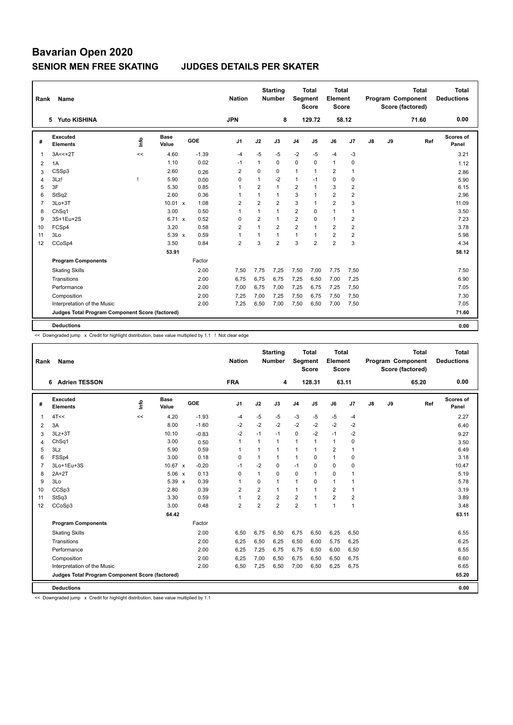| Rank           | <b>Name</b>                                     |      |                      |            | <b>Nation</b>  |                | <b>Starting</b><br><b>Number</b> | <b>Segment</b> | <b>Total</b><br><b>Score</b> | <b>Total</b><br>Element<br><b>Score</b> |                |               |    | <b>Total</b><br>Program Component<br>Score (factored) | <b>Total</b><br><b>Deductions</b> |
|----------------|-------------------------------------------------|------|----------------------|------------|----------------|----------------|----------------------------------|----------------|------------------------------|-----------------------------------------|----------------|---------------|----|-------------------------------------------------------|-----------------------------------|
|                | 5 Yuto KISHINA                                  |      |                      |            | <b>JPN</b>     |                | 8                                |                | 129.72                       |                                         | 58.12          |               |    | 71.60                                                 | 0.00                              |
| #              | Executed<br><b>Elements</b>                     | ١nfo | <b>Base</b><br>Value | <b>GOE</b> | J <sub>1</sub> | J2             | J3                               | J <sub>4</sub> | J5                           | J6                                      | J <sub>7</sub> | $\mathsf{J}8$ | J9 | Ref                                                   | <b>Scores of</b><br>Panel         |
| $\mathbf{1}$   | $3A < +2T$                                      | <<   | 4.60                 | $-1.39$    | $-4$           | $-5$           | $-5$                             | $-2$           | $-5$                         | $-4$                                    | $-3$           |               |    |                                                       | 3.21                              |
| 2              | 1A                                              |      | 1.10                 | 0.02       | $-1$           | 1              | 0                                | $\mathbf 0$    | 0                            | $\mathbf{1}$                            | $\mathbf 0$    |               |    |                                                       | 1.12                              |
| 3              | CSSp3                                           |      | 2.60                 | 0.26       | 2              | 0              | 0                                | $\mathbf{1}$   | $\mathbf{1}$                 | $\overline{2}$                          | $\overline{1}$ |               |    |                                                       | 2.86                              |
| 4              | 3Lz!                                            |      | 5.90                 | 0.00       | 0              | $\mathbf{1}$   | $-2$                             | $\mathbf{1}$   | $-1$                         | 0                                       | $\mathbf 0$    |               |    |                                                       | 5.90                              |
| 5              | 3F                                              |      | 5.30                 | 0.85       | $\overline{1}$ | $\overline{2}$ | 1                                | $\overline{2}$ | $\mathbf{1}$                 | 3                                       | $\overline{2}$ |               |    |                                                       | 6.15                              |
| 6              | StSq2                                           |      | 2.60                 | 0.36       | $\overline{1}$ | $\mathbf{1}$   | 1                                | 3              | $\mathbf{1}$                 | $\overline{2}$                          | $\overline{2}$ |               |    |                                                       | 2.96                              |
| $\overline{7}$ | $3Lo+3T$                                        |      | $10.01 \times$       | 1.08       | $\overline{2}$ | $\overline{2}$ | $\overline{2}$                   | 3              | $\mathbf{1}$                 | $\overline{2}$                          | 3              |               |    |                                                       | 11.09                             |
| 8              | ChSq1                                           |      | 3.00                 | 0.50       | $\overline{1}$ | $\mathbf{1}$   | 1                                | $\overline{2}$ | $\Omega$                     | 1                                       | $\overline{1}$ |               |    |                                                       | 3.50                              |
| 9              | 3S+1Eu+2S                                       |      | 6.71 x               | 0.52       | $\mathbf 0$    | $\overline{2}$ | 1                                | $\overline{2}$ | 0                            | $\mathbf{1}$                            | $\overline{2}$ |               |    |                                                       | 7.23                              |
| 10             | FCSp4                                           |      | 3.20                 | 0.58       | $\overline{2}$ | $\mathbf{1}$   | $\overline{2}$                   | $\overline{2}$ | $\mathbf{1}$                 | $\overline{2}$                          | $\overline{2}$ |               |    |                                                       | 3.78                              |
| 11             | 3Lo                                             |      | 5.39 x               | 0.59       | $\overline{1}$ | 1              | 1                                | $\mathbf{1}$   | $\mathbf{1}$                 | $\overline{2}$                          | $\overline{2}$ |               |    |                                                       | 5.98                              |
| 12             | CCoSp4                                          |      | 3.50                 | 0.84       | $\overline{2}$ | 3              | $\overline{2}$                   | 3              | $\overline{2}$               | $\overline{2}$                          | 3              |               |    |                                                       | 4.34                              |
|                |                                                 |      | 53.91                |            |                |                |                                  |                |                              |                                         |                |               |    |                                                       | 58.12                             |
|                | <b>Program Components</b>                       |      |                      | Factor     |                |                |                                  |                |                              |                                         |                |               |    |                                                       |                                   |
|                | <b>Skating Skills</b>                           |      |                      | 2.00       | 7.50           | 7,75           | 7.25                             | 7,50           | 7,00                         | 7,75                                    | 7,50           |               |    |                                                       | 7.50                              |
|                | Transitions                                     |      |                      | 2.00       | 6,75           | 6,75           | 6,75                             | 7,25           | 6,50                         | 7,00                                    | 7,25           |               |    |                                                       | 6.90                              |
|                | Performance                                     |      |                      | 2.00       | 7,00           | 6,75           | 7,00                             | 7,25           | 6,75                         | 7,25                                    | 7,50           |               |    |                                                       | 7.05                              |
|                | Composition                                     |      |                      | 2.00       | 7,25           | 7,00           | 7,25                             | 7,50           | 6,75                         | 7,50                                    | 7,50           |               |    |                                                       | 7.30                              |
|                | Interpretation of the Music                     |      |                      | 2.00       | 7,25           | 6,50           | 7,00                             | 7,50           | 6,50                         | 7,00                                    | 7,50           |               |    |                                                       | 7.05                              |
|                | Judges Total Program Component Score (factored) |      |                      |            |                |                |                                  |                |                              |                                         |                |               |    |                                                       | 71.60                             |
|                | <b>Deductions</b>                               |      |                      |            |                |                |                                  |                |                              |                                         |                |               |    |                                                       | 0.00                              |

<< Downgraded jump x Credit for highlight distribution, base value multiplied by 1.1 ! Not clear edge

| Rank           | Name                                            |      |                      |         | <b>Nation</b>  |                | <b>Starting</b><br><b>Number</b> | Segment        | <b>Total</b><br><b>Score</b> | <b>Total</b><br>Element<br><b>Score</b> |                |    |    | <b>Total</b><br>Program Component<br>Score (factored) | <b>Total</b><br><b>Deductions</b> |
|----------------|-------------------------------------------------|------|----------------------|---------|----------------|----------------|----------------------------------|----------------|------------------------------|-----------------------------------------|----------------|----|----|-------------------------------------------------------|-----------------------------------|
|                | <b>Adrien TESSON</b><br>6                       |      |                      |         | <b>FRA</b>     |                | 4                                |                | 128.31                       | 63.11                                   |                |    |    | 65.20                                                 | 0.00                              |
| #              | Executed<br><b>Elements</b>                     | info | <b>Base</b><br>Value | GOE     | J1             | J2             | J3                               | J <sub>4</sub> | J5                           | J6                                      | J7             | J8 | J9 | Ref                                                   | Scores of<br>Panel                |
| 1              | 4T<<                                            | <<   | 4.20                 | $-1.93$ | -4             | $-5$           | $-5$                             | $-3$           | $-5$                         | $-5$                                    | -4             |    |    |                                                       | 2.27                              |
| 2              | 3A                                              |      | 8.00                 | $-1.60$ | $-2$           | $-2$           | $-2$                             | $-2$           | $-2$                         | $-2$                                    | $-2$           |    |    |                                                       | 6.40                              |
| 3              | $3Lz + 3T$                                      |      | 10.10                | $-0.83$ | $-2$           | $-1$           | $-1$                             | $\mathbf 0$    | $-2$                         | $-1$                                    | $-2$           |    |    |                                                       | 9.27                              |
| 4              | ChSq1                                           |      | 3.00                 | 0.50    | $\mathbf{1}$   | 1              | $\mathbf{1}$                     | $\mathbf{1}$   |                              | $\mathbf{1}$                            | 0              |    |    |                                                       | 3.50                              |
| 5              | 3Lz                                             |      | 5.90                 | 0.59    | $\mathbf{1}$   | 1              | 1                                | $\overline{1}$ | 1                            | $\overline{2}$                          | 1              |    |    |                                                       | 6.49                              |
| 6              | FSSp4                                           |      | 3.00                 | 0.18    | 0              | 1              | 1                                | $\mathbf{1}$   | $\Omega$                     | $\mathbf{1}$                            | 0              |    |    |                                                       | 3.18                              |
| $\overline{7}$ | 3Lo+1Eu+3S                                      |      | $10.67 \times$       | $-0.20$ | $-1$           | $-2$           | 0                                | $-1$           | $\Omega$                     | $\mathbf 0$                             | 0              |    |    |                                                       | 10.47                             |
| 8              | $2A+2T$                                         |      | $5.06 \times$        | 0.13    | $\mathbf 0$    | 1              | 0                                | $\mathbf 0$    | 1                            | $\mathbf 0$                             | 1              |    |    |                                                       | 5.19                              |
| 9              | 3Lo                                             |      | $5.39 \times$        | 0.39    | $\mathbf{1}$   | $\mathbf 0$    | $\mathbf{1}$                     | $\mathbf{1}$   | $\Omega$                     | $\mathbf{1}$                            | $\mathbf{1}$   |    |    |                                                       | 5.78                              |
| 10             | CCSp3                                           |      | 2.80                 | 0.39    | 2              | 2              | $\mathbf{1}$                     | $\mathbf{1}$   | 1                            | $\overline{2}$                          | 1              |    |    |                                                       | 3.19                              |
| 11             | StSq3                                           |      | 3.30                 | 0.59    | $\mathbf{1}$   | $\overline{2}$ | $\overline{2}$                   | $\overline{2}$ | 1                            | $\overline{2}$                          | $\overline{2}$ |    |    |                                                       | 3.89                              |
| 12             | CCoSp3                                          |      | 3.00                 | 0.48    | $\overline{2}$ | $\overline{2}$ | $\overline{2}$                   | $\overline{2}$ | 1                            | $\overline{1}$                          | $\mathbf{1}$   |    |    |                                                       | 3.48                              |
|                |                                                 |      | 64.42                |         |                |                |                                  |                |                              |                                         |                |    |    |                                                       | 63.11                             |
|                | <b>Program Components</b>                       |      |                      | Factor  |                |                |                                  |                |                              |                                         |                |    |    |                                                       |                                   |
|                | <b>Skating Skills</b>                           |      |                      | 2.00    | 6,50           | 6,75           | 6,50                             | 6,75           | 6,50                         | 6,25                                    | 6,50           |    |    |                                                       | 6.55                              |
|                | Transitions                                     |      |                      | 2.00    | 6,25           | 6,50           | 6,25                             | 6,50           | 6,00                         | 5,75                                    | 6,25           |    |    |                                                       | 6.25                              |
|                | Performance                                     |      |                      | 2.00    | 6,25           | 7,25           | 6,75                             | 6,75           | 6,50                         | 6,00                                    | 6,50           |    |    |                                                       | 6.55                              |
|                | Composition                                     |      |                      | 2.00    | 6,25           | 7,00           | 6,50                             | 6,75           | 6,50                         | 6,50                                    | 6,75           |    |    |                                                       | 6.60                              |
|                | Interpretation of the Music                     |      |                      | 2.00    | 6,50           | 7,25           | 6,50                             | 7,00           | 6,50                         | 6,25                                    | 6,75           |    |    |                                                       | 6.65                              |
|                | Judges Total Program Component Score (factored) |      |                      |         |                |                |                                  |                |                              |                                         |                |    |    |                                                       | 65.20                             |
|                | <b>Deductions</b>                               |      |                      |         |                |                |                                  |                |                              |                                         |                |    |    |                                                       | 0.00                              |

<< Downgraded jump x Credit for highlight distribution, base value multiplied by 1.1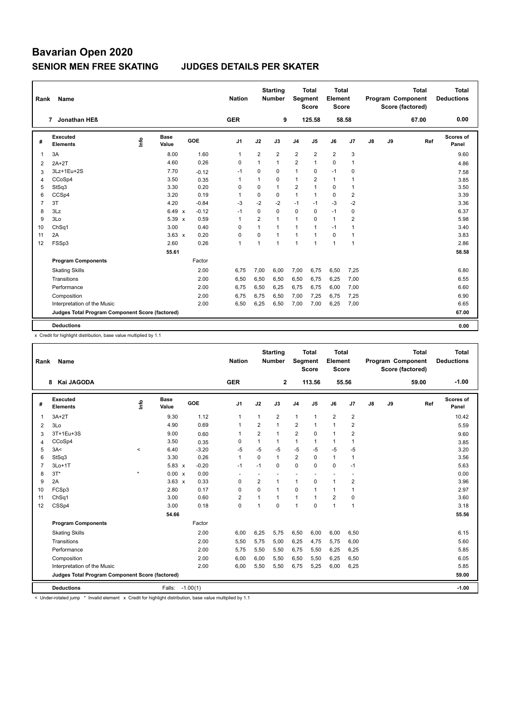| Name                        |                                                                                           |                      |                                                 | <b>Nation</b>                                    |                |                |                                                  |                           |                                                            |                |                                                                          |    | <b>Total</b> | <b>Total</b><br><b>Deductions</b>            |
|-----------------------------|-------------------------------------------------------------------------------------------|----------------------|-------------------------------------------------|--------------------------------------------------|----------------|----------------|--------------------------------------------------|---------------------------|------------------------------------------------------------|----------------|--------------------------------------------------------------------------|----|--------------|----------------------------------------------|
| Jonathan HEß                |                                                                                           |                      |                                                 | <b>GER</b>                                       |                |                |                                                  |                           |                                                            |                |                                                                          |    | 67.00        | 0.00                                         |
| Executed<br><b>Elements</b> | ۴ů                                                                                        | <b>Base</b><br>Value | GOE                                             | J <sub>1</sub>                                   | J2             | J3             | J <sub>4</sub>                                   | J <sub>5</sub>            | J6                                                         | J7             | J8                                                                       | J9 |              | Scores of<br>Panel                           |
| 3A                          |                                                                                           | 8.00                 | 1.60                                            | $\mathbf{1}$                                     | $\overline{2}$ | $\overline{2}$ | $\overline{2}$                                   | $\overline{2}$            | $\overline{2}$                                             | 3              |                                                                          |    |              | 9.60                                         |
| $2A+2T$                     |                                                                                           | 4.60                 | 0.26                                            | 0                                                | 1              | $\mathbf{1}$   | $\overline{2}$                                   | $\mathbf{1}$              | $\Omega$                                                   | $\overline{1}$ |                                                                          |    |              | 4.86                                         |
| 3Lz+1Eu+2S                  |                                                                                           | 7.70                 | $-0.12$                                         | -1                                               | 0              | $\Omega$       | 1                                                | $\Omega$                  | $-1$                                                       | 0              |                                                                          |    |              | 7.58                                         |
| CCoSp4                      |                                                                                           | 3.50                 | 0.35                                            | $\overline{1}$                                   | 1              | 0              | $\mathbf{1}$                                     | 2                         | $\mathbf{1}$                                               | -1             |                                                                          |    |              | 3.85                                         |
| StSq3                       |                                                                                           | 3.30                 | 0.20                                            | 0                                                | $\Omega$       | $\mathbf{1}$   | $\overline{2}$                                   | 1                         | $\mathbf 0$                                                | $\overline{1}$ |                                                                          |    |              | 3.50                                         |
| CCSp4                       |                                                                                           | 3.20                 | 0.19                                            | $\overline{1}$                                   | $\mathbf 0$    | $\mathbf 0$    | $\mathbf{1}$                                     | $\mathbf{1}$              | $\mathbf 0$                                                | $\overline{2}$ |                                                                          |    |              | 3.39                                         |
| 3T                          |                                                                                           | 4.20                 | $-0.84$                                         | $-3$                                             | $-2$           | $-2$           | $-1$                                             | $-1$                      | $-3$                                                       | $-2$           |                                                                          |    |              | 3.36                                         |
| 3Lz                         |                                                                                           |                      | $-0.12$                                         | -1                                               | $\mathbf 0$    | $\Omega$       | $\mathbf 0$                                      | 0                         | $-1$                                                       | 0              |                                                                          |    |              | 6.37                                         |
| 3Lo                         |                                                                                           |                      | 0.59                                            | $\overline{1}$                                   | $\overline{2}$ | $\mathbf{1}$   | $\mathbf{1}$                                     | $\mathbf 0$               | $\mathbf{1}$                                               | $\overline{2}$ |                                                                          |    |              | 5.98                                         |
| ChSq1                       |                                                                                           | 3.00                 | 0.40                                            | 0                                                | 1              | $\mathbf{1}$   | $\mathbf{1}$                                     | 1                         | $-1$                                                       | $\overline{1}$ |                                                                          |    |              | 3.40                                         |
| 2A                          |                                                                                           |                      | 0.20                                            | 0                                                | $\mathbf 0$    | $\mathbf{1}$   | $\mathbf{1}$                                     | 1                         | $\mathbf 0$                                                | $\mathbf{1}$   |                                                                          |    |              | 3.83                                         |
| FSSp3                       |                                                                                           | 2.60                 | 0.26                                            | $\overline{1}$                                   | 1              | $\mathbf{1}$   | 1                                                | 1                         | $\mathbf{1}$                                               | $\overline{1}$ |                                                                          |    |              | 2.86                                         |
|                             |                                                                                           | 55.61                |                                                 |                                                  |                |                |                                                  |                           |                                                            |                |                                                                          |    |              | 58.58                                        |
| <b>Program Components</b>   |                                                                                           |                      | Factor                                          |                                                  |                |                |                                                  |                           |                                                            |                |                                                                          |    |              |                                              |
| <b>Skating Skills</b>       |                                                                                           |                      | 2.00                                            | 6,75                                             | 7,00           | 6,00           | 7,00                                             | 6,75                      | 6,50                                                       | 7,25           |                                                                          |    |              | 6.80                                         |
| Transitions                 |                                                                                           |                      | 2.00                                            | 6,50                                             | 6,50           | 6,50           | 6,50                                             | 6,75                      | 6,25                                                       | 7,00           |                                                                          |    |              | 6.55                                         |
| Performance                 |                                                                                           |                      | 2.00                                            | 6.75                                             |                |                |                                                  |                           |                                                            |                |                                                                          |    |              | 6.60                                         |
|                             |                                                                                           |                      | 2.00                                            | 6,75                                             | 6,75           | 6,50           |                                                  | 7,25                      | 6,75                                                       |                |                                                                          |    |              | 6.90                                         |
|                             |                                                                                           |                      |                                                 |                                                  |                |                |                                                  |                           |                                                            |                |                                                                          |    |              | 6.65                                         |
|                             |                                                                                           |                      |                                                 |                                                  |                |                |                                                  |                           |                                                            |                |                                                                          |    |              | 67.00                                        |
|                             |                                                                                           |                      |                                                 |                                                  |                |                |                                                  |                           |                                                            |                |                                                                          |    |              | 0.00                                         |
|                             | Rank<br>$\overline{7}$<br>Composition<br>Interpretation of the Music<br><b>Deductions</b> |                      | Judges Total Program Component Score (factored) | $6.49 \times$<br>5.39 x<br>$3.63 \times$<br>2.00 | 6,50           | 6,50<br>6,25   | <b>Starting</b><br><b>Number</b><br>6,25<br>6,50 | 9<br>6,75<br>7,00<br>7,00 | Total<br>Segment<br><b>Score</b><br>125.58<br>6,75<br>7,00 | 6,00<br>6,25   | <b>Total</b><br>Element<br><b>Score</b><br>58.58<br>7,00<br>7,25<br>7,00 |    |              | Program Component<br>Score (factored)<br>Ref |

x Credit for highlight distribution, base value multiplied by 1.1

| Rank           | <b>Name</b>                                     |         |                 |         | <b>Nation</b>  |                | <b>Starting</b><br><b>Number</b> | <b>Segment</b> | <b>Total</b><br><b>Score</b> | <b>Total</b><br>Element<br>Score |                |               |    | <b>Total</b><br>Program Component<br>Score (factored) | <b>Total</b><br><b>Deductions</b> |
|----------------|-------------------------------------------------|---------|-----------------|---------|----------------|----------------|----------------------------------|----------------|------------------------------|----------------------------------|----------------|---------------|----|-------------------------------------------------------|-----------------------------------|
|                | Kai JAGODA<br>8                                 |         |                 |         | <b>GER</b>     |                | $\mathbf{2}$                     |                | 113.56                       |                                  | 55.56          |               |    | 59.00                                                 | $-1.00$                           |
| #              | Executed<br><b>Elements</b>                     | ١nfo    | Base<br>Value   | GOE     | J <sub>1</sub> | J2             | J3                               | J <sub>4</sub> | J5                           | J6                               | J <sub>7</sub> | $\mathsf{J}8$ | J9 | Ref                                                   | <b>Scores of</b><br>Panel         |
| $\overline{1}$ | $3A+2T$                                         |         | 9.30            | 1.12    | $\mathbf{1}$   | $\mathbf{1}$   | 2                                | $\mathbf{1}$   | $\mathbf{1}$                 | $\overline{2}$                   | $\overline{2}$ |               |    |                                                       | 10.42                             |
| 2              | 3Lo                                             |         | 4.90            | 0.69    | $\mathbf{1}$   | 2              | 1                                | $\overline{2}$ | $\mathbf{1}$                 | $\mathbf{1}$                     | 2              |               |    |                                                       | 5.59                              |
| 3              | 3T+1Eu+3S                                       |         | 9.00            | 0.60    | $\mathbf{1}$   | 2              | 1                                | $\overline{2}$ | $\mathbf 0$                  | $\mathbf{1}$                     | $\overline{2}$ |               |    |                                                       | 9.60                              |
| 4              | CCoSp4                                          |         | 3.50            | 0.35    | 0              | $\mathbf{1}$   | 1                                | $\mathbf{1}$   | 1                            | $\mathbf{1}$                     | $\overline{1}$ |               |    |                                                       | 3.85                              |
| 5              | 3A<                                             | $\prec$ | 6.40            | $-3.20$ | -5             | $-5$           | $-5$                             | $-5$           | $-5$                         | $-5$                             | $-5$           |               |    |                                                       | 3.20                              |
| 6              | StSq3                                           |         | 3.30            | 0.26    | $\mathbf{1}$   | $\mathbf 0$    | 1                                | $\overline{2}$ | $\mathbf 0$                  | $\mathbf{1}$                     | $\overline{1}$ |               |    |                                                       | 3.56                              |
| $\overline{7}$ | $3Lo+1T$                                        |         | $5.83 \times$   | $-0.20$ | $-1$           | $-1$           | $\Omega$                         | $\mathbf 0$    | $\Omega$                     | $\mathbf 0$                      | $-1$           |               |    |                                                       | 5.63                              |
| 8              | $3T*$                                           | $\star$ | 0.00 x          | 0.00    |                |                |                                  |                |                              |                                  |                |               |    |                                                       | 0.00                              |
| 9              | 2A                                              |         | $3.63 \times$   | 0.33    | 0              | $\overline{2}$ | 1                                | $\mathbf{1}$   | $\Omega$                     | $\mathbf{1}$                     | $\overline{2}$ |               |    |                                                       | 3.96                              |
| 10             | FCSp3                                           |         | 2.80            | 0.17    | $\mathbf 0$    | $\Omega$       | 1                                | $\mathbf 0$    | $\mathbf{1}$                 | $\mathbf{1}$                     | $\overline{1}$ |               |    |                                                       | 2.97                              |
| 11             | ChSq1                                           |         | 3.00            | 0.60    | $\overline{2}$ | $\mathbf{1}$   | 1                                | $\mathbf{1}$   | $\mathbf{1}$                 | $\overline{2}$                   | $\mathbf 0$    |               |    |                                                       | 3.60                              |
| 12             | CSSp4                                           |         | 3.00            | 0.18    | $\mathbf 0$    | 1              | $\Omega$                         | $\overline{1}$ | $\Omega$                     | $\mathbf{1}$                     | $\overline{1}$ |               |    |                                                       | 3.18                              |
|                |                                                 |         | 54.66           |         |                |                |                                  |                |                              |                                  |                |               |    |                                                       | 55.56                             |
|                | <b>Program Components</b>                       |         |                 | Factor  |                |                |                                  |                |                              |                                  |                |               |    |                                                       |                                   |
|                | <b>Skating Skills</b>                           |         |                 | 2.00    | 6,00           | 6,25           | 5,75                             | 6,50           | 6,00                         | 6,00                             | 6,50           |               |    |                                                       | 6.15                              |
|                | Transitions                                     |         |                 | 2.00    | 5,50           | 5,75           | 5,00                             | 6,25           | 4,75                         | 5,75                             | 6,00           |               |    |                                                       | 5.60                              |
|                | Performance                                     |         |                 | 2.00    | 5,75           | 5,50           | 5,50                             | 6,75           | 5,50                         | 6,25                             | 6,25           |               |    |                                                       | 5.85                              |
|                | Composition                                     |         |                 | 2.00    | 6,00           | 6,00           | 5,50                             | 6,50           | 5,50                         | 6,25                             | 6,50           |               |    |                                                       | 6.05                              |
|                | Interpretation of the Music                     |         |                 | 2.00    | 6,00           | 5,50           | 5,50                             | 6,75           | 5,25                         | 6,00                             | 6,25           |               |    |                                                       | 5.85                              |
|                | Judges Total Program Component Score (factored) |         |                 |         |                |                |                                  |                |                              |                                  |                |               |    |                                                       | 59.00                             |
|                | <b>Deductions</b>                               |         | Falls: -1.00(1) |         |                |                |                                  |                |                              |                                  |                |               |    |                                                       | $-1.00$                           |

-<br>< Under-rotated jump \* Invalid element x Credit for highlight distribution, base value multiplied by 1.1